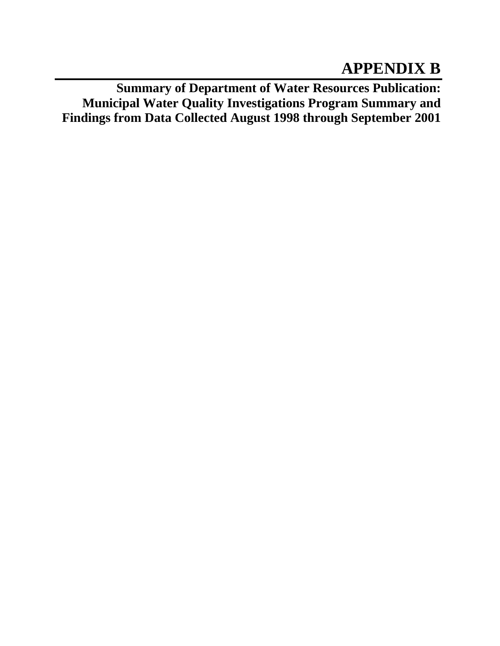# **APPENDIX B**

**Summary of Department of Water Resources Publication: Municipal Water Quality Investigations Program Summary and Findings from Data Collected August 1998 through September 2001**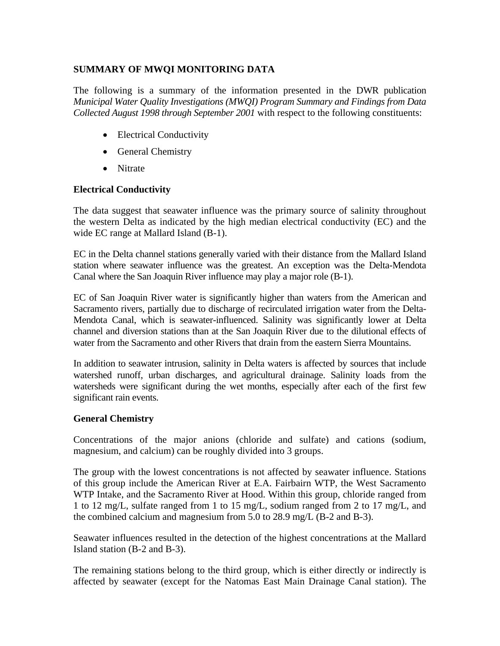## **SUMMARY OF MWQI MONITORING DATA**

The following is a summary of the information presented in the DWR publication *Municipal Water Quality Investigations (MWQI) Program Summary and Findings from Data Collected August 1998 through September 2001* with respect to the following constituents:

- Electrical Conductivity
- General Chemistry
- Nitrate

## **Electrical Conductivity**

The data suggest that seawater influence was the primary source of salinity throughout the western Delta as indicated by the high median electrical conductivity (EC) and the wide EC range at Mallard Island (B-1).

EC in the Delta channel stations generally varied with their distance from the Mallard Island station where seawater influence was the greatest. An exception was the Delta-Mendota Canal where the San Joaquin River influence may play a major role (B-1).

EC of San Joaquin River water is significantly higher than waters from the American and Sacramento rivers, partially due to discharge of recirculated irrigation water from the Delta-Mendota Canal, which is seawater-influenced. Salinity was significantly lower at Delta channel and diversion stations than at the San Joaquin River due to the dilutional effects of water from the Sacramento and other Rivers that drain from the eastern Sierra Mountains.

In addition to seawater intrusion, salinity in Delta waters is affected by sources that include watershed runoff, urban discharges, and agricultural drainage. Salinity loads from the watersheds were significant during the wet months, especially after each of the first few significant rain events.

## **General Chemistry**

Concentrations of the major anions (chloride and sulfate) and cations (sodium, magnesium, and calcium) can be roughly divided into 3 groups.

The group with the lowest concentrations is not affected by seawater influence. Stations of this group include the American River at E.A. Fairbairn WTP, the West Sacramento WTP Intake, and the Sacramento River at Hood. Within this group, chloride ranged from 1 to 12 mg/L, sulfate ranged from 1 to 15 mg/L, sodium ranged from 2 to 17 mg/L, and the combined calcium and magnesium from 5.0 to 28.9 mg/L (B-2 and B-3).

Seawater influences resulted in the detection of the highest concentrations at the Mallard Island station (B-2 and B-3).

The remaining stations belong to the third group, which is either directly or indirectly is affected by seawater (except for the Natomas East Main Drainage Canal station). The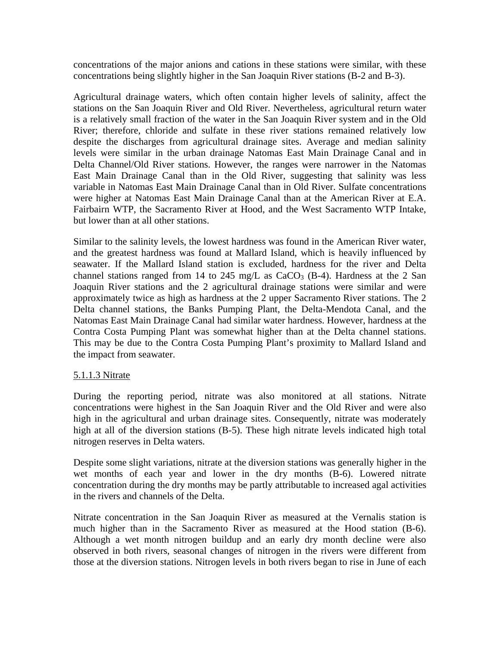concentrations of the major anions and cations in these stations were similar, with these concentrations being slightly higher in the San Joaquin River stations (B-2 and B-3).

Agricultural drainage waters, which often contain higher levels of salinity, affect the stations on the San Joaquin River and Old River. Nevertheless, agricultural return water is a relatively small fraction of the water in the San Joaquin River system and in the Old River; therefore, chloride and sulfate in these river stations remained relatively low despite the discharges from agricultural drainage sites. Average and median salinity levels were similar in the urban drainage Natomas East Main Drainage Canal and in Delta Channel/Old River stations. However, the ranges were narrower in the Natomas East Main Drainage Canal than in the Old River, suggesting that salinity was less variable in Natomas East Main Drainage Canal than in Old River. Sulfate concentrations were higher at Natomas East Main Drainage Canal than at the American River at E.A. Fairbairn WTP, the Sacramento River at Hood, and the West Sacramento WTP Intake, but lower than at all other stations.

Similar to the salinity levels, the lowest hardness was found in the American River water, and the greatest hardness was found at Mallard Island, which is heavily influenced by seawater. If the Mallard Island station is excluded, hardness for the river and Delta channel stations ranged from 14 to 245 mg/L as  $CaCO<sub>3</sub>$  (B-4). Hardness at the 2 San Joaquin River stations and the 2 agricultural drainage stations were similar and were approximately twice as high as hardness at the 2 upper Sacramento River stations. The 2 Delta channel stations, the Banks Pumping Plant, the Delta-Mendota Canal, and the Natomas East Main Drainage Canal had similar water hardness. However, hardness at the Contra Costa Pumping Plant was somewhat higher than at the Delta channel stations. This may be due to the Contra Costa Pumping Plant's proximity to Mallard Island and the impact from seawater.

### 5.1.1.3 Nitrate

During the reporting period, nitrate was also monitored at all stations. Nitrate concentrations were highest in the San Joaquin River and the Old River and were also high in the agricultural and urban drainage sites. Consequently, nitrate was moderately high at all of the diversion stations (B-5). These high nitrate levels indicated high total nitrogen reserves in Delta waters.

Despite some slight variations, nitrate at the diversion stations was generally higher in the wet months of each year and lower in the dry months (B-6). Lowered nitrate concentration during the dry months may be partly attributable to increased agal activities in the rivers and channels of the Delta.

Nitrate concentration in the San Joaquin River as measured at the Vernalis station is much higher than in the Sacramento River as measured at the Hood station (B-6). Although a wet month nitrogen buildup and an early dry month decline were also observed in both rivers, seasonal changes of nitrogen in the rivers were different from those at the diversion stations. Nitrogen levels in both rivers began to rise in June of each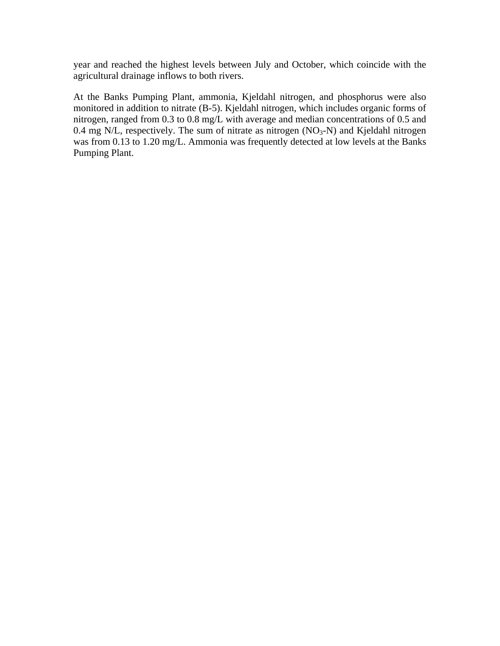year and reached the highest levels between July and October, which coincide with the agricultural drainage inflows to both rivers.

At the Banks Pumping Plant, ammonia, Kjeldahl nitrogen, and phosphorus were also monitored in addition to nitrate (B-5). Kjeldahl nitrogen, which includes organic forms of nitrogen, ranged from 0.3 to 0.8 mg/L with average and median concentrations of 0.5 and 0.4 mg N/L, respectively. The sum of nitrate as nitrogen  $(NO<sub>3</sub>-N)$  and Kjeldahl nitrogen was from 0.13 to 1.20 mg/L. Ammonia was frequently detected at low levels at the Banks Pumping Plant.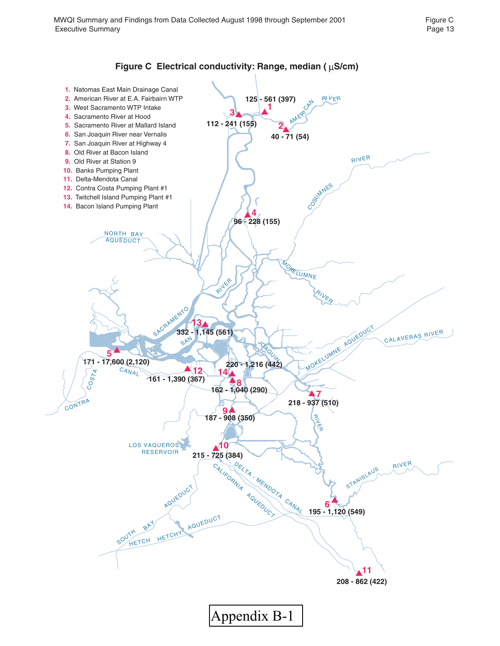

### Figure C Electrical conductivity: Range, median ( $\mu$ S/cm)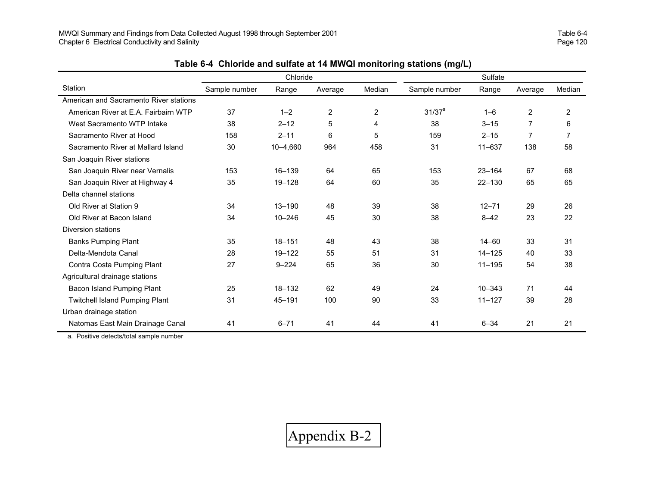|                                        |               | Chloride   |                |        | Sulfate       |            |                |        |
|----------------------------------------|---------------|------------|----------------|--------|---------------|------------|----------------|--------|
| Station                                | Sample number | Range      | Average        | Median | Sample number | Range      | Average        | Median |
| American and Sacramento River stations |               |            |                |        |               |            |                |        |
| American River at E.A. Fairbairn WTP   | 37            | $1 - 2$    | $\overline{c}$ | 2      | $31/37^a$     | $1 - 6$    | $\overline{c}$ | 2      |
| West Sacramento WTP Intake             | 38            | $2 - 12$   | 5              | 4      | 38            | $3 - 15$   | 7              | 6      |
| Sacramento River at Hood               | 158           | $2 - 11$   | 6              | 5      | 159           | $2 - 15$   | 7              | 7      |
| Sacramento River at Mallard Island     | 30            | 10-4,660   | 964            | 458    | 31            | $11 - 637$ | 138            | 58     |
| San Joaquin River stations             |               |            |                |        |               |            |                |        |
| San Joaquin River near Vernalis        | 153           | 16-139     | 64             | 65     | 153           | $23 - 164$ | 67             | 68     |
| San Joaquin River at Highway 4         | 35            | $19 - 128$ | 64             | 60     | 35            | $22 - 130$ | 65             | 65     |
| Delta channel stations                 |               |            |                |        |               |            |                |        |
| Old River at Station 9                 | 34            | $13 - 190$ | 48             | 39     | 38            | $12 - 71$  | 29             | 26     |
| Old River at Bacon Island              | 34            | $10 - 246$ | 45             | 30     | 38            | $8 - 42$   | 23             | 22     |
| Diversion stations                     |               |            |                |        |               |            |                |        |
| <b>Banks Pumping Plant</b>             | 35            | $18 - 151$ | 48             | 43     | 38            | $14 - 60$  | 33             | 31     |
| Delta-Mendota Canal                    | 28            | $19 - 122$ | 55             | 51     | 31            | $14 - 125$ | 40             | 33     |
| Contra Costa Pumping Plant             | 27            | $9 - 224$  | 65             | 36     | 30            | $11 - 195$ | 54             | 38     |
| Agricultural drainage stations         |               |            |                |        |               |            |                |        |
| Bacon Island Pumping Plant             | 25            | $18 - 132$ | 62             | 49     | 24            | $10 - 343$ | 71             | 44     |
| <b>Twitchell Island Pumping Plant</b>  | 31            | $45 - 191$ | 100            | 90     | 33            | $11 - 127$ | 39             | 28     |
| Urban drainage station                 |               |            |                |        |               |            |                |        |
| Natomas East Main Drainage Canal       | 41            | $6 - 71$   | 41             | 44     | 41            | $6 - 34$   | 21             | 21     |

|  | Table 6-4 Chloride and sulfate at 14 MWQI monitoring stations (mg/L) |  |  |  |  |  |
|--|----------------------------------------------------------------------|--|--|--|--|--|
|--|----------------------------------------------------------------------|--|--|--|--|--|

a. Positive detects/total sample number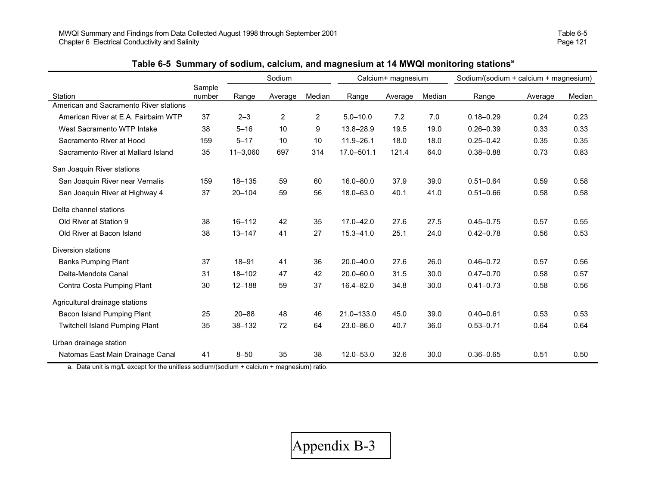|                                        |                  | Sodium       |                | Calcium+ magnesium |               |         | Sodium/(sodium + calcium + magnesium) |               |         |        |
|----------------------------------------|------------------|--------------|----------------|--------------------|---------------|---------|---------------------------------------|---------------|---------|--------|
| Station                                | Sample<br>number | Range        | Average        | Median             | Range         | Average | Median                                | Range         | Average | Median |
| American and Sacramento River stations |                  |              |                |                    |               |         |                                       |               |         |        |
| American River at E.A. Fairbairn WTP   | 37               | $2 - 3$      | $\overline{2}$ | $\overline{2}$     | $5.0 - 10.0$  | 7.2     | 7.0                                   | $0.18 - 0.29$ | 0.24    | 0.23   |
| West Sacramento WTP Intake             | 38               | $5 - 16$     | 10             | 9                  | 13.8-28.9     | 19.5    | 19.0                                  | $0.26 - 0.39$ | 0.33    | 0.33   |
| Sacramento River at Hood               | 159              | $5 - 17$     | 10             | 10                 | $11.9 - 26.1$ | 18.0    | 18.0                                  | $0.25 - 0.42$ | 0.35    | 0.35   |
| Sacramento River at Mallard Island     | 35               | $11 - 3,060$ | 697            | 314                | 17.0-501.1    | 121.4   | 64.0                                  | $0.38 - 0.88$ | 0.73    | 0.83   |
| San Joaquin River stations             |                  |              |                |                    |               |         |                                       |               |         |        |
| San Joaquin River near Vernalis        | 159              | $18 - 135$   | 59             | 60                 | $16.0 - 80.0$ | 37.9    | 39.0                                  | $0.51 - 0.64$ | 0.59    | 0.58   |
| San Joaquin River at Highway 4         | 37               | $20 - 104$   | 59             | 56                 | 18.0-63.0     | 40.1    | 41.0                                  | $0.51 - 0.66$ | 0.58    | 0.58   |
| Delta channel stations                 |                  |              |                |                    |               |         |                                       |               |         |        |
| Old River at Station 9                 | 38               | $16 - 112$   | 42             | 35                 | 17.0-42.0     | 27.6    | 27.5                                  | $0.45 - 0.75$ | 0.57    | 0.55   |
| Old River at Bacon Island              | 38               | $13 - 147$   | 41             | 27                 | $15.3 - 41.0$ | 25.1    | 24.0                                  | $0.42 - 0.78$ | 0.56    | 0.53   |
| Diversion stations                     |                  |              |                |                    |               |         |                                       |               |         |        |
| <b>Banks Pumping Plant</b>             | 37               | $18 - 91$    | 41             | 36                 | $20.0 - 40.0$ | 27.6    | 26.0                                  | $0.46 - 0.72$ | 0.57    | 0.56   |
| Delta-Mendota Canal                    | 31               | $18 - 102$   | 47             | 42                 | $20.0 - 60.0$ | 31.5    | 30.0                                  | $0.47 - 0.70$ | 0.58    | 0.57   |
| Contra Costa Pumping Plant             | 30               | $12 - 188$   | 59             | 37                 | $16.4 - 82.0$ | 34.8    | 30.0                                  | $0.41 - 0.73$ | 0.58    | 0.56   |
| Agricultural drainage stations         |                  |              |                |                    |               |         |                                       |               |         |        |
| Bacon Island Pumping Plant             | 25               | $20 - 88$    | 48             | 46                 | 21.0-133.0    | 45.0    | 39.0                                  | $0.40 - 0.61$ | 0.53    | 0.53   |
| <b>Twitchell Island Pumping Plant</b>  | 35               | $38 - 132$   | 72             | 64                 | $23.0 - 86.0$ | 40.7    | 36.0                                  | $0.53 - 0.71$ | 0.64    | 0.64   |
| Urban drainage station                 |                  |              |                |                    |               |         |                                       |               |         |        |
| Natomas East Main Drainage Canal       | 41               | $8 - 50$     | 35             | 38                 | $12.0 - 53.0$ | 32.6    | 30.0                                  | $0.36 - 0.65$ | 0.51    | 0.50   |

## **Table 6-5 Summary of sodium, calcium, and magnesium at 14 MWQI monitoring stations**<sup>a</sup>

a. Data unit is mg/L except for the unitless sodium/(sodium + calcium + magnesium) ratio.

×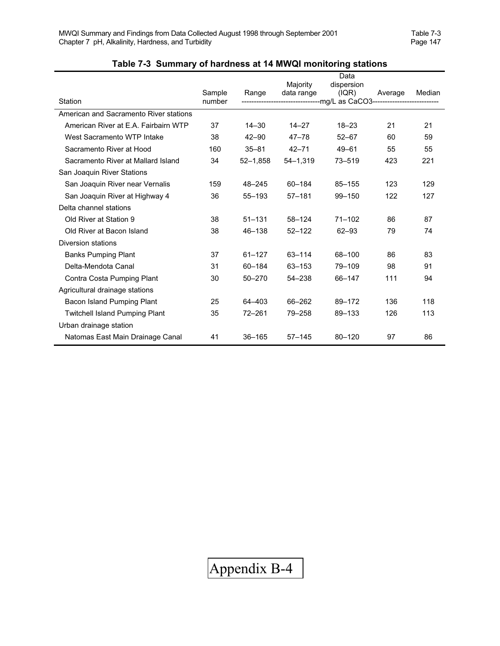|                                        |                  |              | Data         |                                                                                |         |        |  |
|----------------------------------------|------------------|--------------|--------------|--------------------------------------------------------------------------------|---------|--------|--|
|                                        |                  |              | Majority     | dispersion                                                                     |         |        |  |
| Station                                | Sample<br>number | Range        | data range   | ( IQR)<br>----------------------------mg/L as CaCO3--------------------------- | Average | Median |  |
|                                        |                  |              |              |                                                                                |         |        |  |
| American and Sacramento River stations |                  |              |              |                                                                                |         |        |  |
| American River at E.A. Fairbairn WTP   | 37               | $14 - 30$    | $14 - 27$    | $18 - 23$                                                                      | 21      | 21     |  |
| West Sacramento WTP Intake             | 38               | $42 - 90$    | $47 - 78$    | $52 - 67$                                                                      | 60      | 59     |  |
| Sacramento River at Hood               | 160              | $35 - 81$    | $42 - 71$    | $49 - 61$                                                                      | 55      | 55     |  |
| Sacramento River at Mallard Island     | 34               | $52 - 1,858$ | $54 - 1,319$ | $73 - 519$                                                                     | 423     | 221    |  |
| San Joaquin River Stations             |                  |              |              |                                                                                |         |        |  |
| San Joaquin River near Vernalis        | 159              | 48-245       | 60-184       | $85 - 155$                                                                     | 123     | 129    |  |
| San Joaquin River at Highway 4         | 36               | $55 - 193$   | $57 - 181$   | 99-150                                                                         | 122     | 127    |  |
| Delta channel stations                 |                  |              |              |                                                                                |         |        |  |
| Old River at Station 9                 | 38               | $51 - 131$   | 58-124       | $71 - 102$                                                                     | 86      | 87     |  |
| Old River at Bacon Island              | 38               | 46-138       | $52 - 122$   | $62 - 93$                                                                      | 79      | 74     |  |
| Diversion stations                     |                  |              |              |                                                                                |         |        |  |
| <b>Banks Pumping Plant</b>             | 37               | $61 - 127$   | 63-114       | 68-100                                                                         | 86      | 83     |  |
| Delta-Mendota Canal                    | 31               | 60-184       | 63-153       | 79-109                                                                         | 98      | 91     |  |
| Contra Costa Pumping Plant             | 30               | $50 - 270$   | $54 - 238$   | 66-147                                                                         | 111     | 94     |  |
| Agricultural drainage stations         |                  |              |              |                                                                                |         |        |  |
| Bacon Island Pumping Plant             | 25               | 64-403       | 66-262       | 89-172                                                                         | 136     | 118    |  |
| <b>Twitchell Island Pumping Plant</b>  | 35               | $72 - 261$   | 79-258       | 89-133                                                                         | 126     | 113    |  |
| Urban drainage station                 |                  |              |              |                                                                                |         |        |  |
| Natomas East Main Drainage Canal       | 41               | $36 - 165$   | $57 - 145$   | $80 - 120$                                                                     | 97      | 86     |  |

# **Table 7-3 Summary of hardness at 14 MWQI monitoring stations**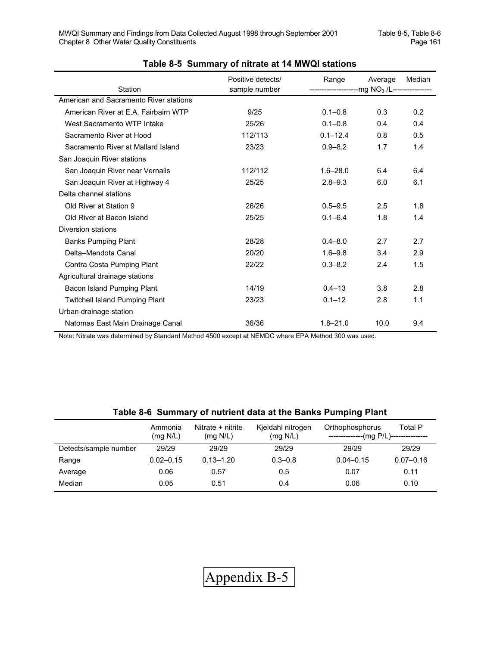| Station                                | Positive detects/<br>sample number | Range<br>---------------------mg NO <sub>3</sub> /L---------------- | Average | Median |
|----------------------------------------|------------------------------------|---------------------------------------------------------------------|---------|--------|
| American and Sacramento River stations |                                    |                                                                     |         |        |
| American River at E.A. Fairbairn WTP   | 9/25                               | $0.1 - 0.8$                                                         | 0.3     | 0.2    |
| West Sacramento WTP Intake             | 25/26                              | $0.1 - 0.8$                                                         | 0.4     | 0.4    |
| Sacramento River at Hood               | 112/113                            | $0.1 - 12.4$                                                        | 0.8     | 0.5    |
| Sacramento River at Mallard Island     | 23/23                              | $0.9 - 8.2$                                                         | 1.7     | 1.4    |
| San Joaquin River stations             |                                    |                                                                     |         |        |
| San Joaquin River near Vernalis        | 112/112                            | $1.6 - 28.0$                                                        | 6.4     | 6.4    |
| San Joaquin River at Highway 4         | 25/25                              | $2.8 - 9.3$                                                         | 6.0     | 6.1    |
| Delta channel stations                 |                                    |                                                                     |         |        |
| Old River at Station 9                 | 26/26                              | $0.5 - 9.5$                                                         | 2.5     | 1.8    |
| Old River at Bacon Island              | 25/25                              | $0.1 - 6.4$                                                         | 1.8     | 1.4    |
| Diversion stations                     |                                    |                                                                     |         |        |
| <b>Banks Pumping Plant</b>             | 28/28                              | $0.4 - 8.0$                                                         | 2.7     | 2.7    |
| Delta-Mendota Canal                    | 20/20                              | $1.6 - 9.8$                                                         | 3.4     | 2.9    |
| Contra Costa Pumping Plant             | 22/22                              | $0.3 - 8.2$                                                         | 2.4     | 1.5    |
| Agricultural drainage stations         |                                    |                                                                     |         |        |
| Bacon Island Pumping Plant             | 14/19                              | $0.4 - 13$                                                          | 3.8     | 2.8    |
| <b>Twitchell Island Pumping Plant</b>  | 23/23                              | $0.1 - 12$                                                          | 2.8     | 1.1    |
| Urban drainage station                 |                                    |                                                                     |         |        |
| Natomas East Main Drainage Canal       | 36/36                              | $1.8 - 21.0$                                                        | 10.0    | 9.4    |

#### **Table 8-5 Summary of nitrate at 14 MWQI stations**

Note: Nitrate was determined by Standard Method 4500 except at NEMDC where EPA Method 300 was used.

### **Table 8-6 Summary of nutrient data at the Banks Pumping Plant**

|                       | Ammonia<br>(mq N/L) | Nitrate + nitrite<br>(mq N/L) | Kjeldahl nitrogen<br>(mq N/L) | Orthophosphorus | Total P<br>$(mg P/L)$ --------------- |
|-----------------------|---------------------|-------------------------------|-------------------------------|-----------------|---------------------------------------|
| Detects/sample number | 29/29               | 29/29                         | 29/29                         | 29/29           | 29/29                                 |
| Range                 | $0.02 - 0.15$       | $0.13 - 1.20$                 | $0.3 - 0.8$                   | $0.04 - 0.15$   | $0.07 - 0.16$                         |
| Average               | 0.06                | 0.57                          | 0.5                           | 0.07            | 0.11                                  |
| Median                | 0.05                | 0.51                          | 0.4                           | 0.06            | 0.10                                  |